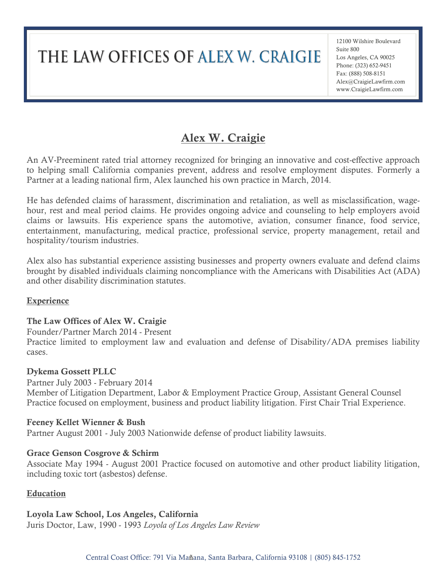# THE LAW OFFICES OF ALEX W. CRAIGIE

12100 Wilshire Boulevard Suite 800 Los Angeles, CA 90025 Phone: (323) 652-9451 Fax: (888) 508-8151 Alex@CraigieLawfirm.com www.CraigieLawfirm.com

# Alex W. Craigie

An AV-Preeminent rated trial attorney recognized for bringing an innovative and cost-effective approach to helping small California companies prevent, address and resolve employment disputes. Formerly a Partner at a leading national firm, Alex launched his own practice in March, 2014.

He has defended claims of harassment, discrimination and retaliation, as well as misclassification, wagehour, rest and meal period claims. He provides ongoing advice and counseling to help employers avoid claims or lawsuits. His experience spans the automotive, aviation, consumer finance, food service, entertainment, manufacturing, medical practice, professional service, property management, retail and hospitality/tourism industries.

Alex also has substantial experience assisting businesses and property owners evaluate and defend claims brought by disabled individuals claiming noncompliance with the Americans with Disabilities Act (ADA) and other disability discrimination statutes.

#### **Experience**

# The Law Offices of Alex W. Craigie

Founder/Partner March 2014 - Present Practice limited to employment law and evaluation and defense of Disability/ADA premises liability cases.

#### Dykema Gossett PLLC

Partner July 2003 - February 2014 Member of Litigation Department, Labor & Employment Practice Group, Assistant General Counsel Practice focused on employment, business and product liability litigation. First Chair Trial Experience.

# Feeney Kellet Wienner & Bush

Partner August 2001 - July 2003 Nationwide defense of product liability lawsuits.

# Grace Genson Cosgrove & Schirm

Associate May 1994 - August 2001 Practice focused on automotive and other product liability litigation, including toxic tort (asbestos) defense.

#### Education

# Loyola Law School, Los Angeles, California

Juris Doctor, Law, 1990 - 1993 *Loyola of Los Angeles Law Review*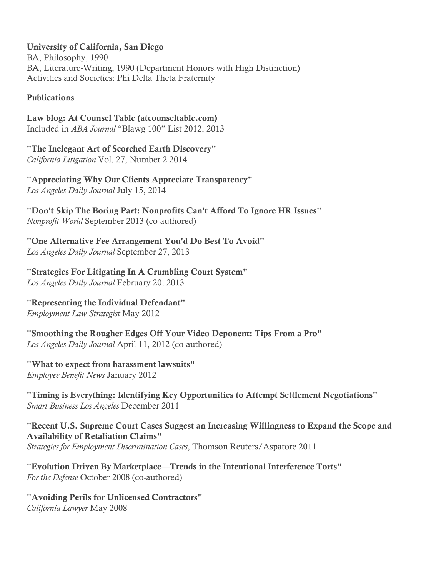University of California, San Diego

BA, Philosophy, 1990 BA, Literature-Writing, 1990 (Department Honors with High Distinction) Activities and Societies: Phi Delta Theta Fraternity

# **Publications**

Law blog: At Counsel Table (atcounseltable.com) Included in *ABA Journal* "Blawg 100" List 2012, 2013

"The Inelegant Art of Scorched Earth Discovery" *California Litigation* Vol. 27, Number 2 2014

"Appreciating Why Our Clients Appreciate Transparency" *Los Angeles Daily Journal* July 15, 2014

"Don't Skip The Boring Part: Nonprofits Can't Afford To Ignore HR Issues" *Nonprofit World* September 2013 (co-authored)

"One Alternative Fee Arrangement You'd Do Best To Avoid" *Los Angeles Daily Journal* September 27, 2013

"Strategies For Litigating In A Crumbling Court System" *Los Angeles Daily Journal* February 20, 2013

"Representing the Individual Defendant"

*Employment Law Strategist* May 2012

"Smoothing the Rougher Edges Off Your Video Deponent: Tips From a Pro" *Los Angeles Daily Journal* April 11, 2012 (co-authored)

"What to expect from harassment lawsuits"

*Employee Benefit News* January 2012

"Timing is Everything: Identifying Key Opportunities to Attempt Settlement Negotiations" *Smart Business Los Angeles* December 2011

"Recent U.S. Supreme Court Cases Suggest an Increasing Willingness to Expand the Scope and Availability of Retaliation Claims" *Strategies for Employment Discrimination Cases*, Thomson Reuters/Aspatore 2011

"Evolution Driven By Marketplace—Trends in the Intentional Interference Torts" *For the Defense* October 2008 (co-authored)

"Avoiding Perils for Unlicensed Contractors" *California Lawyer* May 2008